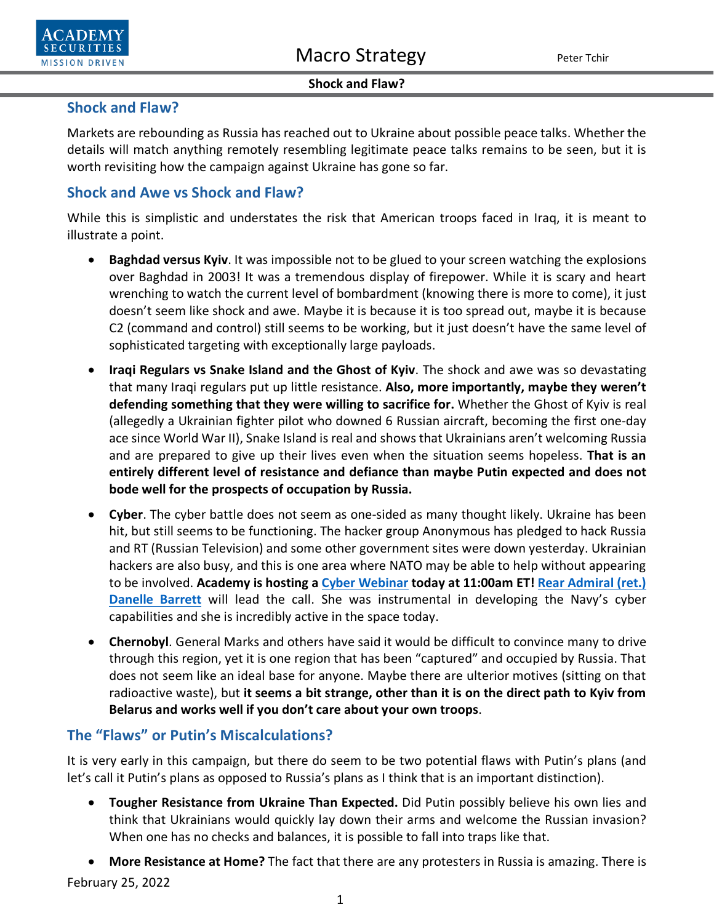

#### **Shock and Flaw?**

## **Shock and Flaw?**

Markets are rebounding as Russia has reached out to Ukraine about possible peace talks. Whether the details will match anything remotely resembling legitimate peace talks remains to be seen, but it is worth revisiting how the campaign against Ukraine has gone so far.

## **Shock and Awe vs Shock and Flaw?**

While this is simplistic and understates the risk that American troops faced in Iraq, it is meant to illustrate a point.

- **Baghdad versus Kyiv**. It was impossible not to be glued to your screen watching the explosions over Baghdad in 2003! It was a tremendous display of firepower. While it is scary and heart wrenching to watch the current level of bombardment (knowing there is more to come), it just doesn't seem like shock and awe. Maybe it is because it is too spread out, maybe it is because C2 (command and control) still seems to be working, but it just doesn't have the same level of sophisticated targeting with exceptionally large payloads.
- **Iraqi Regulars vs Snake Island and the Ghost of Kyiv**. The shock and awe was so devastating that many Iraqi regulars put up little resistance. **Also, more importantly, maybe they weren't defending something that they were willing to sacrifice for.** Whether the Ghost of Kyiv is real (allegedly a Ukrainian fighter pilot who downed 6 Russian aircraft, becoming the first one-day ace since World War II), Snake Island is real and shows that Ukrainians aren't welcoming Russia and are prepared to give up their lives even when the situation seems hopeless. **That is an entirely different level of resistance and defiance than maybe Putin expected and does not bode well for the prospects of occupation by Russia.**
- **Cyber**. The cyber battle does not seem as one-sided as many thought likely. Ukraine has been hit, but still seems to be functioning. The hacker group Anonymous has pledged to hack Russia and RT (Russian Television) and some other government sites were down yesterday. Ukrainian hackers are also busy, and this is one area where NATO may be able to help without appearing to be involved. **Academy is hosting a [Cyber Webinar](https://us06web.zoom.us/webinar/register/WN_iW3TPxuKQuq_ommCodzxLw) today at 11:00am ET! [Rear Admiral \(ret.\)](https://www.academysecurities.com/geopolitical/geopolitical-intelligence-group/)  [Danelle Barrett](https://www.academysecurities.com/geopolitical/geopolitical-intelligence-group/)** will lead the call. She was instrumental in developing the Navy's cyber capabilities and she is incredibly active in the space today.
- **Chernobyl**. General Marks and others have said it would be difficult to convince many to drive through this region, yet it is one region that has been "captured" and occupied by Russia. That does not seem like an ideal base for anyone. Maybe there are ulterior motives (sitting on that radioactive waste), but **it seems a bit strange, other than it is on the direct path to Kyiv from Belarus and works well if you don't care about your own troops**.

# **The "Flaws" or Putin's Miscalculations?**

It is very early in this campaign, but there do seem to be two potential flaws with Putin's plans (and let's call it Putin's plans as opposed to Russia's plans as I think that is an important distinction).

- **Tougher Resistance from Ukraine Than Expected.** Did Putin possibly believe his own lies and think that Ukrainians would quickly lay down their arms and welcome the Russian invasion? When one has no checks and balances, it is possible to fall into traps like that.
- February 25, 2022 • **More Resistance at Home?** The fact that there are any protesters in Russia is amazing. There is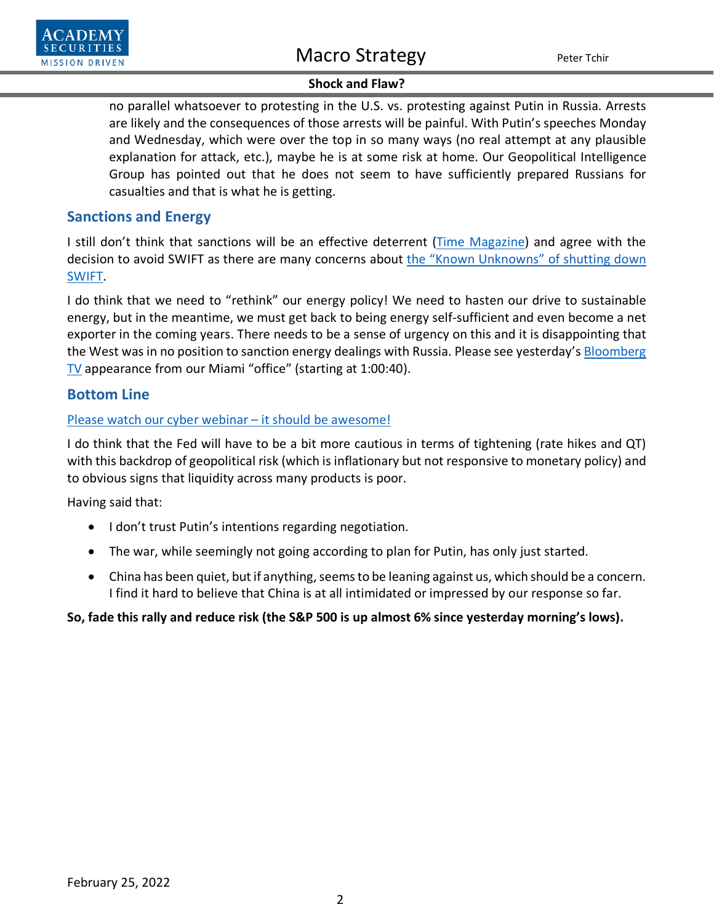

### **Shock and Flaw?**

no parallel whatsoever to protesting in the U.S. vs. protesting against Putin in Russia. Arrests are likely and the consequences of those arrests will be painful. With Putin's speeches Monday and Wednesday, which were over the top in so many ways (no real attempt at any plausible explanation for attack, etc.), maybe he is at some risk at home. Our Geopolitical Intelligence Group has pointed out that he does not seem to have sufficiently prepared Russians for casualties and that is what he is getting.

## **Sanctions and Energy**

I still don't think that sanctions will be an effective deterrent [\(Time Magazine\)](https://time.com/6150607/why-sanctions-on-russia-wont-work/) and agree with the decision to avoid SWIFT as there are many concerns about the "Known Unknowns" of shutting down [SWIFT.](https://www.academysecurities.com/wordpress/wp-content/uploads/2022/02/SWIFT-Known-Unknowns-2.pdf)

I do think that we need to "rethink" our energy policy! We need to hasten our drive to sustainable energy, but in the meantime, we must get back to being energy self-sufficient and even become a net exporter in the coming years. There needs to be a sense of urgency on this and it is disappointing that the West was in no position to sanction energy dealings with Russia. Please see yesterday's Bloomberg [TV](https://www.bloomberg.com/news/videos/2022-02-24/-bloomberg-surveillance-simulcast-full-show-2-24-2022-video) appearance from our Miami "office" (starting at 1:00:40).

## **Bottom Line**

## Please watch our cyber webinar – [it should be awesome!](https://us06web.zoom.us/webinar/register/WN_iW3TPxuKQuq_ommCodzxLw)

I do think that the Fed will have to be a bit more cautious in terms of tightening (rate hikes and QT) with this backdrop of geopolitical risk (which is inflationary but not responsive to monetary policy) and to obvious signs that liquidity across many products is poor.

Having said that:

- I don't trust Putin's intentions regarding negotiation.
- The war, while seemingly not going according to plan for Putin, has only just started.
- China has been quiet, but if anything, seems to be leaning against us, which should be a concern. I find it hard to believe that China is at all intimidated or impressed by our response so far.

### **So, fade this rally and reduce risk (the S&P 500 is up almost 6% since yesterday morning's lows).**